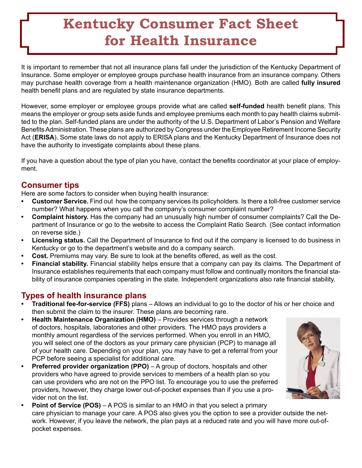# **Kentucky Consumer Fact Sheet for Health Insurance**

It is important to remember that not all insurance plans fall under the jurisdiction of the Kentucky Department of Insurance. Some employer or employee groups purchase health insurance from an insurance company. Others may purchase health coverage from a health maintenance organization (HMO). Both are called **fully insured** health benefit plans and are regulated by state insurance departments.

However, some employer or employee groups provide what are called **self-funded** health benefit plans. This means the employer or group sets aside funds and employee premiums each month to pay health claims submitted to the plan. Self-funded plans are under the authority of the U.S. Department of Labor's Pension and Welfare Benefits Administration. These plans are authorized by Congress under the Employee Retirement Income Security Act (**ERISA**). Some state laws do not apply to ERISA plans and the Kentucky Department of Insurance does not have the authority to investigate complaints about these plans.

If you have a question about the type of plan you have, contact the benefits coordinator at your place of employment.

## **Consumer tips**

Here are some factors to consider when buying health insurance:

- **Customer Service.** Find out how the company services its policyholders. Is there a toll-free customer service number? What happens when you call the company's consumer complaint number? **•**
- **Complaint history.** Has the company had an unusually high number of consumer complaints? Call the Department of Insurance or go to the website to access the Complaint Ratio Search. (See contact information on reverse side.) **•**
- **Licensing status.** Call the Department of Insurance to find out if the company is licensed to do business in Kentucky or go to the department's website and do a company search. **•**
- **Cost.** Premiums may vary. Be sure to look at the benefits offered, as well as the cost. **•**
- **Financial stability.** Financial stability helps ensure that a company can pay its claims. The Department of Insurance establishes requirements that each company must follow and continually monitors the financial stability of insurance companies operating in the state. Independent organizations also rate financial stability. **•**

## **Types of health insurance plans**

- **Traditional fee-for-service (FFS)** plans Allows an individual to go to the doctor of his or her choice and then submit the claim to the insurer. These plans are becoming rare. **•**
- **Health Maintenance Organization (HMO)** Provides services through a network of doctors, hospitals, laboratories and other providers. The HMO pays providers a monthly amount regardless of the services performed. When you enroll in an HMO, you will select one of the doctors as your primary care physician (PCP) to manage all of your health care. Depending on your plan, you may have to get a referral from your PCP before seeing a specialist for additional care. **•**
- **Preferred provider organization (PPO)** A group of doctors, hospitals and other providers who have agreed to provide services to members of a health plan so you can use providers who are not on the PPO list. To encourage you to use the preferred providers, however, they charge lower out-of-pocket expenses than if you use a provider not on the list. **•**
- 
- **Point of Service (POS)** A POS is similar to an HMO in that you select a primary care physician to manage your care. A POS also gives you the option to see a provider outside the network. However, if you leave the network, the plan pays at a reduced rate and you will have more out-ofpocket expenses. **•**